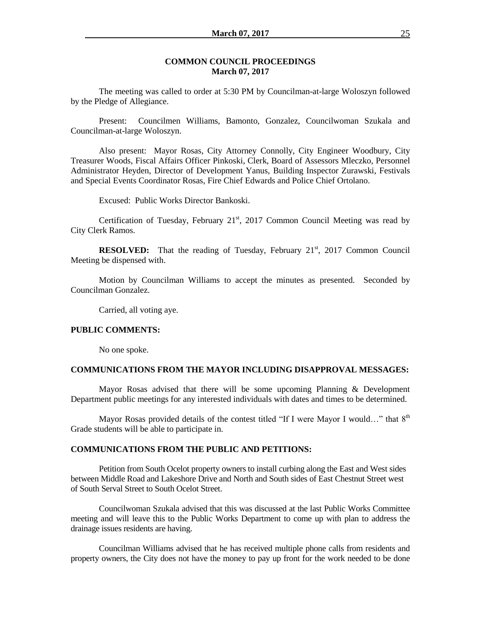### **COMMON COUNCIL PROCEEDINGS March 07, 2017**

The meeting was called to order at 5:30 PM by Councilman-at-large Woloszyn followed by the Pledge of Allegiance.

Present: Councilmen Williams, Bamonto, Gonzalez, Councilwoman Szukala and Councilman-at-large Woloszyn.

Also present: Mayor Rosas, City Attorney Connolly, City Engineer Woodbury, City Treasurer Woods, Fiscal Affairs Officer Pinkoski, Clerk, Board of Assessors Mleczko, Personnel Administrator Heyden, Director of Development Yanus, Building Inspector Zurawski, Festivals and Special Events Coordinator Rosas, Fire Chief Edwards and Police Chief Ortolano.

Excused: Public Works Director Bankoski.

Certification of Tuesday, February  $21<sup>st</sup>$ , 2017 Common Council Meeting was read by City Clerk Ramos.

**RESOLVED:** That the reading of Tuesday, February 21<sup>st</sup>, 2017 Common Council Meeting be dispensed with.

Motion by Councilman Williams to accept the minutes as presented. Seconded by Councilman Gonzalez.

Carried, all voting aye.

#### **PUBLIC COMMENTS:**

No one spoke.

#### **COMMUNICATIONS FROM THE MAYOR INCLUDING DISAPPROVAL MESSAGES:**

Mayor Rosas advised that there will be some upcoming Planning & Development Department public meetings for any interested individuals with dates and times to be determined.

Mayor Rosas provided details of the contest titled "If I were Mayor I would..." that  $8<sup>th</sup>$ Grade students will be able to participate in.

## **COMMUNICATIONS FROM THE PUBLIC AND PETITIONS:**

Petition from South Ocelot property owners to install curbing along the East and West sides between Middle Road and Lakeshore Drive and North and South sides of East Chestnut Street west of South Serval Street to South Ocelot Street.

Councilwoman Szukala advised that this was discussed at the last Public Works Committee meeting and will leave this to the Public Works Department to come up with plan to address the drainage issues residents are having.

Councilman Williams advised that he has received multiple phone calls from residents and property owners, the City does not have the money to pay up front for the work needed to be done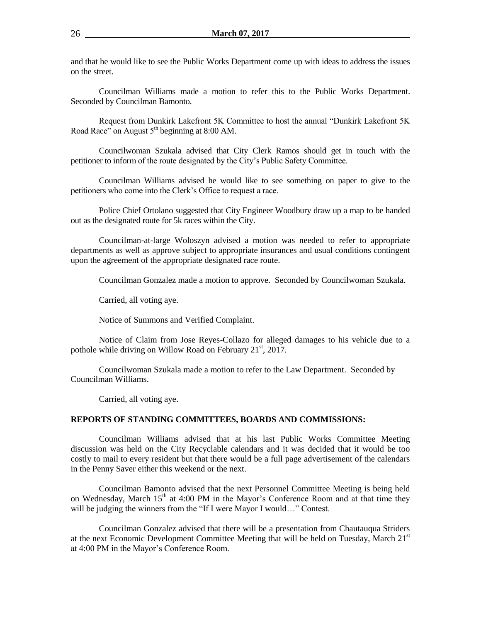and that he would like to see the Public Works Department come up with ideas to address the issues on the street.

Councilman Williams made a motion to refer this to the Public Works Department. Seconded by Councilman Bamonto.

Request from Dunkirk Lakefront 5K Committee to host the annual "Dunkirk Lakefront 5K Road Race" on August  $5<sup>th</sup>$  beginning at 8:00 AM.

Councilwoman Szukala advised that City Clerk Ramos should get in touch with the petitioner to inform of the route designated by the City's Public Safety Committee.

Councilman Williams advised he would like to see something on paper to give to the petitioners who come into the Clerk's Office to request a race.

Police Chief Ortolano suggested that City Engineer Woodbury draw up a map to be handed out as the designated route for 5k races within the City.

Councilman-at-large Woloszyn advised a motion was needed to refer to appropriate departments as well as approve subject to appropriate insurances and usual conditions contingent upon the agreement of the appropriate designated race route.

Councilman Gonzalez made a motion to approve. Seconded by Councilwoman Szukala.

Carried, all voting aye.

Notice of Summons and Verified Complaint.

Notice of Claim from Jose Reyes-Collazo for alleged damages to his vehicle due to a pothole while driving on Willow Road on February  $21<sup>st</sup>$ , 2017.

Councilwoman Szukala made a motion to refer to the Law Department. Seconded by Councilman Williams.

Carried, all voting aye.

### **REPORTS OF STANDING COMMITTEES, BOARDS AND COMMISSIONS:**

Councilman Williams advised that at his last Public Works Committee Meeting discussion was held on the City Recyclable calendars and it was decided that it would be too costly to mail to every resident but that there would be a full page advertisement of the calendars in the Penny Saver either this weekend or the next.

Councilman Bamonto advised that the next Personnel Committee Meeting is being held on Wednesday, March  $15<sup>th</sup>$  at 4:00 PM in the Mayor's Conference Room and at that time they will be judging the winners from the "If I were Mayor I would..." Contest.

Councilman Gonzalez advised that there will be a presentation from Chautauqua Striders at the next Economic Development Committee Meeting that will be held on Tuesday, March  $21<sup>st</sup>$ at 4:00 PM in the Mayor's Conference Room.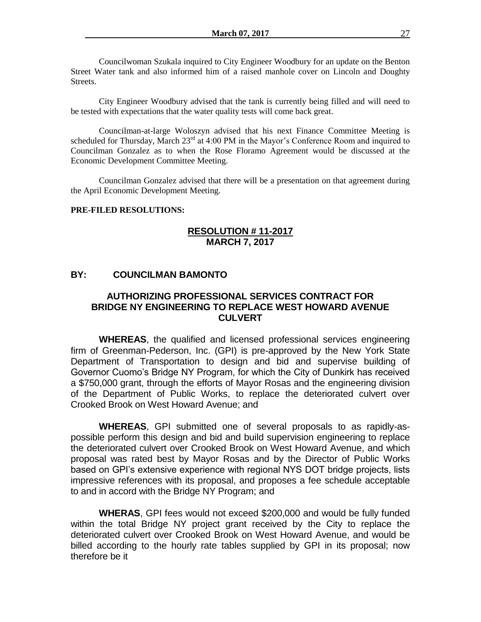Councilwoman Szukala inquired to City Engineer Woodbury for an update on the Benton Street Water tank and also informed him of a raised manhole cover on Lincoln and Doughty Streets.

City Engineer Woodbury advised that the tank is currently being filled and will need to be tested with expectations that the water quality tests will come back great.

Councilman-at-large Woloszyn advised that his next Finance Committee Meeting is scheduled for Thursday, March  $23^{rd}$  at 4:00 PM in the Mayor's Conference Room and inquired to Councilman Gonzalez as to when the Rose Floramo Agreement would be discussed at the Economic Development Committee Meeting.

Councilman Gonzalez advised that there will be a presentation on that agreement during the April Economic Development Meeting.

## **PRE-FILED RESOLUTIONS:**

## **RESOLUTION # 11-2017 MARCH 7, 2017**

# **BY: COUNCILMAN BAMONTO**

# **AUTHORIZING PROFESSIONAL SERVICES CONTRACT FOR BRIDGE NY ENGINEERING TO REPLACE WEST HOWARD AVENUE CULVERT**

**WHEREAS**, the qualified and licensed professional services engineering firm of Greenman-Pederson, Inc. (GPI) is pre-approved by the New York State Department of Transportation to design and bid and supervise building of Governor Cuomo's Bridge NY Program, for which the City of Dunkirk has received a \$750,000 grant, through the efforts of Mayor Rosas and the engineering division of the Department of Public Works, to replace the deteriorated culvert over Crooked Brook on West Howard Avenue; and

**WHEREAS**, GPI submitted one of several proposals to as rapidly-aspossible perform this design and bid and build supervision engineering to replace the deteriorated culvert over Crooked Brook on West Howard Avenue, and which proposal was rated best by Mayor Rosas and by the Director of Public Works based on GPI's extensive experience with regional NYS DOT bridge projects, lists impressive references with its proposal, and proposes a fee schedule acceptable to and in accord with the Bridge NY Program; and

**WHERAS**, GPI fees would not exceed \$200,000 and would be fully funded within the total Bridge NY project grant received by the City to replace the deteriorated culvert over Crooked Brook on West Howard Avenue, and would be billed according to the hourly rate tables supplied by GPI in its proposal; now therefore be it